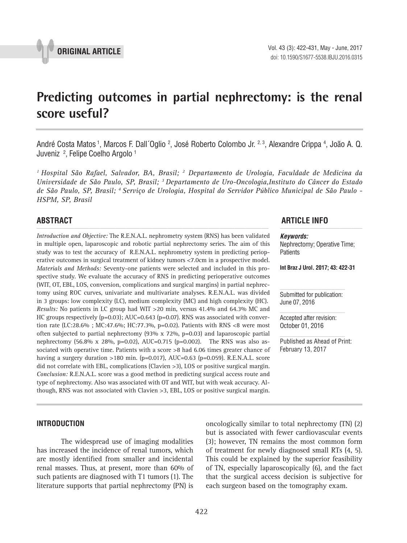

# **Predicting outcomes in partial nephrectomy: is the renal score useful? \_\_\_\_\_\_\_\_\_\_\_\_\_\_\_\_\_\_\_\_\_\_\_\_\_\_\_\_\_\_\_\_\_\_\_\_\_\_\_\_\_\_\_\_\_\_\_**

André Costa Matos <sup>1</sup>, Marcos F. Dall´Oglio <sup>2</sup>, José Roberto Colombo Jr. <sup>2, 3</sup>, Alexandre Crippa <sup>4</sup>, João A. Q. Juveniz 2 , Felipe Coelho Argolo 1

*1 Hospital São Rafael, Salvador, BA, Brasil; 2 Departamento de Urologia, Faculdade de Medicina da Universidade de São Paulo, SP, Brasil; 3 Departamento de Uro-Oncologia,Instituto do Câncer do Estado de São Paulo, SP, Brasil; 4 Serviço de Urologia, Hospital do Servidor Público Municipal de São Paulo - HSPM, SP, Brasil*

*Introduction and Objective:* The R.E.N.A.L. nephrometry system (RNS) has been validated in multiple open, laparoscopic and robotic partial nephrectomy series. The aim of this study was to test the accuracy of R.E.N.A.L. nephrometry system in predicting perioperative outcomes in surgical treatment of kidney tumors <7.0cm in a prospective model. *Materials and Methods:* Seventy-one patients were selected and included in this prospective study. We evaluate the accuracy of RNS in predicting perioperative outcomes (WIT, OT, EBL, LOS, conversion, complications and surgical margins) in partial nephrectomy using ROC curves, univariate and multivariate analyses. R.E.N.A.L. was divided in 3 groups: low complexity (LC), medium complexity (MC) and high complexity (HC). *Results:* No patients in LC group had WIT >20 min, versus 41.4% and 64.3% MC and HC groups respectively  $(p=0.03)$ ; AUC=0.643  $(p=0.07)$ . RNS was associated with convertion rate (LC:28.6% ; MC:47.6%; HC:77.3%, p=0.02). Patients with RNS <8 were most often subjected to partial nephrectomy  $(93\% \times 72\% , p=0.03)$  and laparoscopic partial nephrectomy (56.8% x 28%, p=0.02), AUC=0.715 (p=0.002). The RNS was also associated with operative time. Patients with a score >8 had 6.06 times greater chance of having a surgery duration >180 min. (p=0.017), AUC=0.63 (p=0.059). R.E.N.A.L. score did not correlate with EBL, complications (Clavien >3), LOS or positive surgical margin. *Conclusion:* R.E.N.A.L. score was a good method in predicting surgical access route and type of nephrectomy. Also was associated with OT and WIT, but with weak accuracy. Although, RNS was not associated with Clavien >3, EBL, LOS or positive surgical margin.

# **ABSTRACT ARTICLE INFO** *\_\_\_\_\_\_\_\_\_\_\_\_\_\_\_\_\_\_\_\_\_\_\_\_\_\_\_\_\_\_\_\_\_\_\_\_\_\_\_\_\_\_\_\_\_\_\_\_\_\_\_\_\_\_\_\_\_\_\_\_\_\_ \_\_\_\_\_\_\_\_\_\_\_\_\_\_\_\_\_\_\_\_\_\_*

*Keywords:* Nephrectomy; Operative Time; **Patients** 

**Int Braz J Urol. 2017; 43: 422-31**

Submitted for publication: June 07, 2016

Accepted after revision: October 01, 2016

Published as Ahead of Print: February 13, 2017

# **INTRODUCTION**

The widespread use of imaging modalities has increased the incidence of renal tumors, which are mostly identified from smaller and incidental renal masses. Thus, at present, more than 60% of such patients are diagnosed with T1 tumors (1). The literature supports that partial nephrectomy (PN) is

oncologically similar to total nephrectomy (TN) (2) but is associated with fewer cardiovascular events (3); however, TN remains the most common form of treatment for newly diagnosed small RTs (4, 5). This could be explained by the superior feasibility of TN, especially laparoscopically (6), and the fact that the surgical access decision is subjective for each surgeon based on the tomography exam.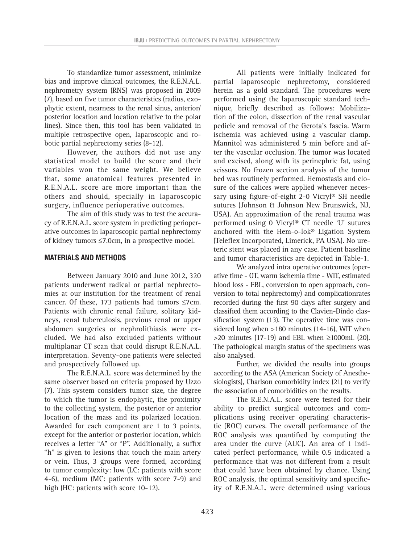To standardize tumor assessment, minimize bias and improve clinical outcomes, the R.E.N.A.L. nephrometry system (RNS) was proposed in 2009 (7), based on five tumor characteristics (radius, exophytic extent, nearness to the renal sinus, anterior/ posterior location and location relative to the polar lines). Since then, this tool has been validated in multiple retrospective open, laparoscopic and robotic partial nephrectomy series (8-12).

However, the authors did not use any statistical model to build the score and their variables won the same weight. We believe that, some anatomical features presented in R.E.N.A.L. score are more important than the others and should, specially in laparoscopic surgery, influence perioperative outcomes.

The aim of this study was to test the accuracy of R.E.N.A.L. score system in predicting perioperative outcomes in laparoscopic partial nephrectomy of kidney tumors ≤7.0cm, in a prospective model.

# **MATERIALS AND METHODS**

Between January 2010 and June 2012, 320 patients underwent radical or partial nephrectomies at our institution for the treatment of renal cancer. Of these, 173 patients had tumors ≤7cm. Patients with chronic renal failure, solitary kidneys, renal tuberculosis, previous renal or upper abdomen surgeries or nephrolithiasis were excluded. We had also excluded patients without multiplanar CT scan that could disrupt R.E.N.A.L. interpretation. Seventy-one patients were selected and prospectively followed up.

The R.E.N.A.L. score was determined by the same observer based on criteria proposed by Uzzo (7). This system considers tumor size, the degree to which the tumor is endophytic, the proximity to the collecting system, the posterior or anterior location of the mass and its polarized location. Awarded for each component are 1 to 3 points, except for the anterior or posterior location, which receives a letter "A" or "P". Additionally, a suffix "h" is given to lesions that touch the main artery or vein. Thus, 3 groups were formed, according to tumor complexity: low (LC: patients with score 4-6), medium (MC: patients with score 7-9) and high (HC: patients with score 10-12).

All patients were initially indicated for partial laparoscopic nephrectomy, considered herein as a gold standard. The procedures were performed using the laparoscopic standard technique, briefly described as follows: Mobilization of the colon, dissection of the renal vascular pedicle and removal of the Gerota's fascia. Warm ischemia was achieved using a vascular clamp. Mannitol was administered 5 min before and after the vascular occlusion. The tumor was located and excised, along with its perinephric fat, using scissors. No frozen section analysis of the tumor bed was routinely performed. Hemostasis and closure of the calices were applied whenever necessary using figure-of-eight 2-0 Vicryl® SH needle sutures (Johnson & Johnson New Brunswick, NJ, USA). An approximation of the renal trauma was performed using 0 Vicryl® CT needle 'U' sutures anchored with the Hem-o-lok® Ligation System (Teleflex Incorporated, Limerick, PA USA). No ureteric stent was placed in any case. Patient baseline and tumor characteristics are depicted in Table-1.

We analyzed intra operative outcomes (operative time - OT, warm ischemia time - WIT, estimated blood loss - EBL, conversion to open approach, conversion to total nephrectomy) and complicationrates recorded during the first 90 days after surgery and classified them according to the Clavien-Dindo classification system (13). The operative time was considered long when >180 minutes (14-16), WIT when  $>$ 20 minutes (17-19) and EBL when  $\geq$ 1000mL (20). The pathological margin status of the specimens was also analysed.

Further, we divided the results into groups according to the ASA (American Society of Anesthesiologists), Charlson comorbidity index (21) to verify the association of comorbidities on the results.

The R.E.N.A.L. score were tested for their ability to predict surgical outcomes and complications using receiver operating characteristic (ROC) curves. The overall performance of the ROC analysis was quantified by computing the area under the curve (AUC). An area of 1 indicated perfect performance, while 0.5 indicated a performance that was not different from a result that could have been obtained by chance. Using ROC analysis, the optimal sensitivity and specificity of R.E.N.A.L. were determined using various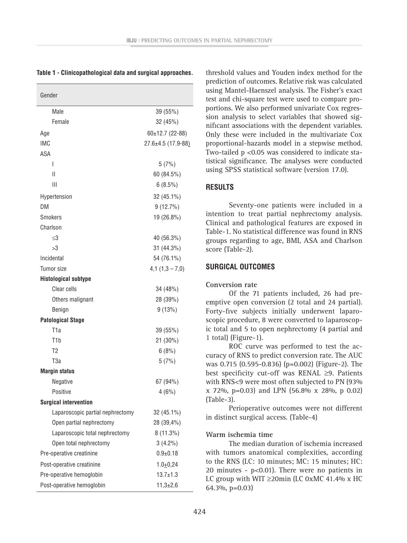| Gender                           |                    |
|----------------------------------|--------------------|
| Male                             | 39 (55%)           |
| Female                           | 32 (45%)           |
| Age                              | $60±12.7(22-88)$   |
| IMC                              | 27.6±4.5 (17.9-88) |
| ASA                              |                    |
| I                                | 5(7%)              |
| Ш                                | 60 (84.5%)         |
| Ш                                | $6(8.5\%)$         |
| Hypertension                     | 32 (45.1%)         |
| DM                               | 9(12.7%)           |
| <b>Smokers</b>                   | 19 (26.8%)         |
| Charlson                         |                    |
| $<$ 3                            | 40 (56.3%)         |
| >3                               | 31 (44.3%)         |
| Incidental                       | 54 (76.1%)         |
| Tumor size                       | $4,1(1,3-7,0)$     |
| <b>Histological subtype</b>      |                    |
| Clear cells                      | 34 (48%)           |
| Others malignant                 | 28 (39%)           |
| Benign                           | 9(13%)             |
| <b>Patological Stage</b>         |                    |
| T <sub>1</sub> a                 | 39 (55%)           |
| T1b                              | 21 (30%)           |
| T <sub>2</sub>                   | 6(8%)              |
| T <sub>3a</sub>                  | 5(7%)              |
| <b>Margin status</b>             |                    |
| Negative                         | 67 (94%)           |
| Positive                         | 4(6%)              |
| <b>Surgical intervention</b>     |                    |
| Laparoscopic partial nephrectomy | 32 (45.1%)         |
| Open partial nephrectomy         | 28 (39,4%)         |
| Laparoscopic total nephrectomy   | 8 (11.3%)          |
| Open total nephrectomy           | $3(4.2\%)$         |
| Pre-operative creatinine         | $0.9 + 0.18$       |
| Post-operative creatinine        | $1.0 + 0.24$       |
| Pre-operative hemoglobin         | $13.7 \pm 1.3$     |
| Post-operative hemoglobin        | $11,3{\pm}2,6$     |

|  |  | Table 1 - Clinicopathological data and surgical approaches. |  |  |  |
|--|--|-------------------------------------------------------------|--|--|--|
|--|--|-------------------------------------------------------------|--|--|--|

threshold values and Youden index method for the prediction of outcomes. Relative risk was calculated using Mantel-Haenszel analysis. The Fisher's exact test and chi-square test were used to compare proportions. We also performed univariate Cox regression analysis to select variables that showed significant associations with the dependent variables. Only these were included in the multivariate Cox proportional-hazards model in a stepwise method. Two-tailed p <0.05 was considered to indicate statistical significance. The analyses were conducted using SPSS statistical software (version 17.0).

## **RESULTS**

Seventy-one patients were included in a intention to treat partial nephrectomy analysis. Clinical and pathological features are exposed in Table-1. No statistical difference was found in RNS groups regarding to age, BMI, ASA and Charlson score (Table-2).

#### **SURGICAL OUTCOMES**

#### **Conversion rate**

Of the 71 patients included, 26 had preemptive open conversion (2 total and 24 partial). Forty-five subjects initially underwent laparoscopic procedure, 8 were converted to laparoscopic total and 5 to open nephrectomy (4 partial and 1 total) (Figure-1).

ROC curve was performed to test the accuracy of RNS to predict conversion rate. The AUC was 0.715 (0.595-0.836) (p=0.002) (Figure-2). The best specificity cut-off was RENAL ≥9. Patients with RNS<9 were most often subjected to PN (93% x 72%, p=0.03) and LPN (56.8% x 28%, p 0.02) (Table-3).

Perioperative outcomes were not different in distinct surgical access. (Table-4)

#### **Warm ischemia time**

The median duration of ischemia increased with tumors anatomical complexities, according to the RNS (LC: 10 minutes; MC: 15 minutes; HC: 20 minutes -  $p<0.01$ ). There were no patients in LC group with WIT  $\geq$ 20min (LC 0xMC 41.4% x HC 64.3%, p=0.03)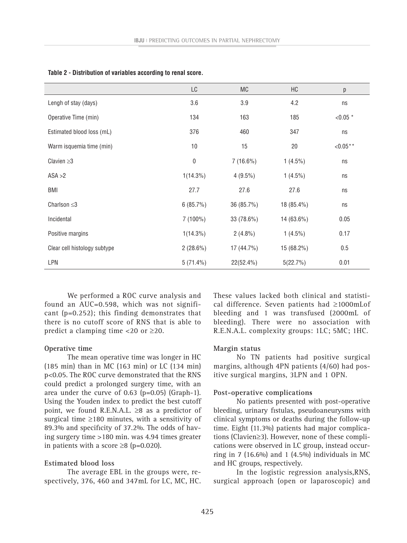|                              | LC               | MC           | HC         | р            |
|------------------------------|------------------|--------------|------------|--------------|
| Lengh of stay (days)         | 3.6              | 3.9          | 4.2        | ns           |
| Operative Time (min)         | 134              | 163          | 185        | $< 0.05$ *   |
| Estimated blood loss (mL)    | 376              | 460          | 347        | ns           |
| Warm isquemia time (min)     | 10               | 15           | 20         | ${<}0.05***$ |
| Clavien $\geq$ 3             | $\boldsymbol{0}$ | $7(16.6\%)$  | $1(4.5\%)$ | ns           |
| ASA > 2                      | $1(14.3\%)$      | $4(9.5\%)$   | $1(4.5\%)$ | ns           |
| <b>BMI</b>                   | 27.7             | 27.6         | 27.6       | ns           |
| Charlson $\leq$ 3            | 6(85.7%)         | 36 (85.7%)   | 18 (85.4%) | ns           |
| Incidental                   | 7 (100%)         | 33 (78.6%)   | 14 (63.6%) | 0.05         |
| Positive margins             | $1(14.3\%)$      | $2(4.8\%)$   | $1(4.5\%)$ | 0.17         |
| Clear cell histology subtype | $2(28.6\%)$      | $17(44.7\%)$ | 15 (68.2%) | 0.5          |
| <b>LPN</b>                   | $5(71.4\%)$      | 22(52.4%)    | 5(22.7%)   | 0.01         |

|  | Table 2 - Distribution of variables according to renal score. |  |  |  |  |  |
|--|---------------------------------------------------------------|--|--|--|--|--|
|--|---------------------------------------------------------------|--|--|--|--|--|

We performed a ROC curve analysis and found an AUC=0.598, which was not significant (p=0.252); this finding demonstrates that there is no cutoff score of RNS that is able to predict a clamping time  $\langle 20 \text{ or } \geq 20$ .

#### **Operative time**

The mean operative time was longer in HC (185 min) than in MC (163 min) or LC (134 min) p<0.05. The ROC curve demonstrated that the RNS could predict a prolonged surgery time, with an area under the curve of 0.63 (p=0.05) (Graph-1). Using the Youden index to predict the best cutoff point, we found R.E.N.A.L.  $\geq 8$  as a predictor of surgical time  $\geq$ 180 minutes, with a sensitivity of 89.3% and specificity of 37.2%. The odds of having surgery time >180 min. was 4.94 times greater in patients with a score  $\geq$ 8 (p=0.020).

#### **Estimated blood loss**

The average EBL in the groups were, respectively, 376, 460 and 347mL for LC, MC, HC. These values lacked both clinical and statistical difference. Seven patients had ≥1000mLof bleeding and 1 was transfused (2000mL of bleeding). There were no association with R.E.N.A.L. complexity groups: 1LC; 5MC; 1HC.

#### **Margin status**

No TN patients had positive surgical margins, although 4PN patients (4/60) had positive surgical margins, 3LPN and 1 OPN.

#### **Post-operative complications**

No patients presented with post-operative bleeding, urinary fistulas, pseudoaneurysms with clinical symptoms or deaths during the follow-up time. Eight (11.3%) patients had major complications (Clavien≥3). However, none of these complications were observed in LC group, instead occurring in 7 (16.6%) and 1 (4.5%) individuals in MC and HC groups, respectively.

In the logistic regression analysis,RNS, surgical approach (open or laparoscopic) and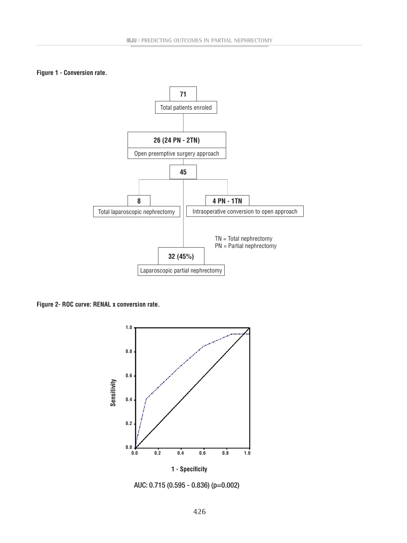### **Figure 1 - Conversion rate.**



**Figure 2- ROC curve: RENAL x conversion rate.**



AUC: 0.715 (0.595 - 0.836) (p=0.002)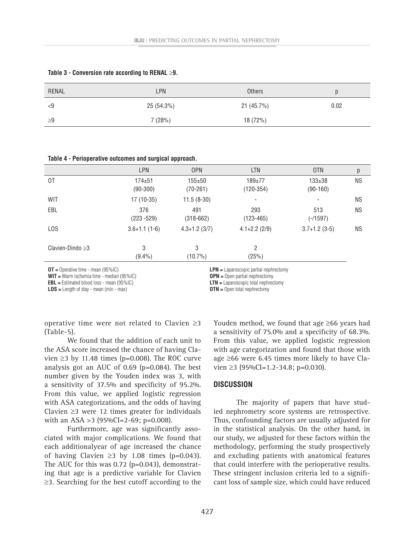| <b>RENAL</b> | LPN        | <b>Others</b> |      |
|--------------|------------|---------------|------|
| <9           | 25 (54.3%) | 21(45.7%)     | 0.02 |
| 29           | 7(28%)     | 18 (72%)      |      |

#### **Table 3 - Conversion rate according to RENAL** ≥**9.**

**Table 4 - Perioperative outcomes and surgical approach.**

|                        | LPN                        | <b>OPN</b>               | <b>LTN</b>                | <b>OTN</b>               | р         |
|------------------------|----------------------------|--------------------------|---------------------------|--------------------------|-----------|
| 0T                     | $174 + 51$<br>$(90 - 300)$ | $155 + 50$<br>$(70-261)$ | $189 + 77$<br>$(120-354)$ | $133 + 38$<br>$(90-160)$ | <b>NS</b> |
| <b>WIT</b>             | 17 (10-35)                 | $11.5(8-30)$             | $\overline{\phantom{a}}$  | ۰                        | <b>NS</b> |
| EBL                    | 376<br>$(223 - 529)$       | 491<br>$(318 - 662)$     | 293<br>$(123 - 465)$      | 513<br>$(-/1597)$        | <b>NS</b> |
| L <sub>0</sub> S       | $3.6 + 1.1(1 - 6)$         | $4.3 + 1.2$ (3/7)        | $4.1 + 2.2$ (2/9)         | $3.7+1.2(3-5)$           | <b>NS</b> |
| Clavien-Dindo $\geq$ 3 | 3<br>$(9.4\%)$             | 3<br>$(10.7\%)$          | $\overline{2}$<br>(25%)   |                          |           |
|                        |                            |                          |                           |                          |           |

**OT =** Operative time - mean (95%IC)

**WIT =** Warm ischemia time - median (95%IC)

**EBL =** Estimated blood loss - mean (95%IC)

**LOS =** Length of stay - mean (min - max)

**LPN =** Laparoscopic partial nephrectomy

**OPN =** Open partial nephrectomy

**LTN =** Laparoscopic total nephrectomy

**OTN =** Open total nephrectomy

operative time were not related to Clavien ≥3 (Table-5).

We found that the addition of each unit to the ASA score increased the chance of having Clavien ≥3 by 11.48 times (p=0.008). The ROC curve analysis got an AUC of 0.69 (p=0.084). The best number given by the Youden index was 3, with a sensitivity of 37.5% and specificity of 95.2%. From this value, we applied logistic regression with ASA categorizations, and the odds of having Clavien ≥3 were 12 times greater for individuals with an ASA  $>3$  (95%CI=2-69; p=0.008).

Furthermore, age was significantly associated with major complications. We found that each additionalyear of age increased the chance of having Clavien ≥3 by 1.08 times ( $p=0.043$ ). The AUC for this was 0.72 (p=0.043), demonstrating that age is a predictive variable for Clavien ≥3. Searching for the best cutoff according to the

Youden method, we found that age ≥66 years had a sensitivity of 75.0% and a specificity of 68.3%. From this value, we applied logistic regression with age categorization and found that those with age ≥66 were 6.45 times more likely to have Clavien  $\geq$ 3 (95%CI=1.2-34.8; p=0.030).

#### **DISCUSSION**

The majority of papers that have studied nephrometry score systems are retrospective. Thus, confounding factors are usually adjusted for in the statistical analysis. On the other hand, in our study, we adjusted for these factors within the methodology, performing the study prospectively and excluding patients with anatomical features that could interfere with the perioperative results. These stringent inclusion criteria led to a significant loss of sample size, which could have reduced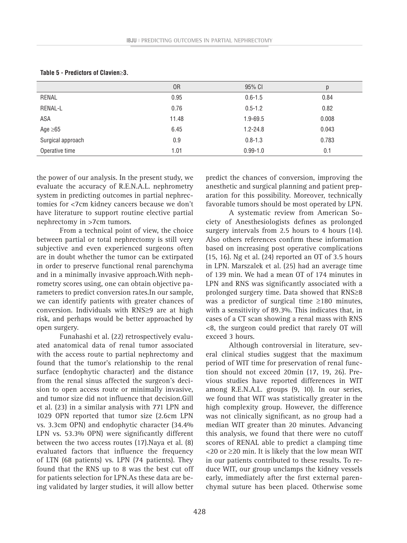| Table 5 - Predictors of Clavien≥3. |                |              |       |  |
|------------------------------------|----------------|--------------|-------|--|
|                                    | 0 <sub>R</sub> | 95% CI       | p     |  |
| RENAL                              | 0.95           | $0.6 - 1.5$  | 0.84  |  |
| <b>RENAL-L</b>                     | 0.76           | $0.5 - 1.2$  | 0.82  |  |
| ASA                                | 11.48          | 1.9-69.5     | 0.008 |  |
| Age $\geq 65$                      | 6.45           | $1.2 - 24.8$ | 0.043 |  |
| Surgical approach                  | 0.9            | $0.8 - 1.3$  | 0.783 |  |
| Operative time                     | 1.01           | $0.99 - 1.0$ | 0.1   |  |

the power of our analysis. In the present study, we evaluate the accuracy of R.E.N.A.L. nephrometry system in predicting outcomes in partial nephrectomies for <7cm kidney cancers because we don't have literature to support routine elective partial nephrectomy in >7cm tumors.

From a technical point of view, the choice between partial or total nephrectomy is still very subjective and even experienced surgeons often are in doubt whether the tumor can be extirpated in order to preserve functional renal parenchyma and in a minimally invasive approach.With nephrometry scores using, one can obtain objective parameters to predict conversion rates.In our sample, we can identify patients with greater chances of conversion. Individuals with RNS≥9 are at high risk, and perhaps would be better approached by open surgery.

Funahashi et al. (22) retrospectively evaluated anatomical data of renal tumor associated with the access route to partial nephrectomy and found that the tumor's relationship to the renal surface (endophytic character) and the distance from the renal sinus affected the surgeon's decision to open access route or minimally invasive, and tumor size did not influence that decision.Gill et al. (23) in a similar analysis with 771 LPN and 1029 OPN reported that tumor size (2.6cm LPN vs. 3.3cm OPN) and endophytic character (34.4% LPN vs. 53.3% OPN) were significantly different between the two access routes (17).Naya et al. (8) evaluated factors that influence the frequency of LTN (68 patients) vs. LPN (74 patients). They found that the RNS up to 8 was the best cut off for patients selection for LPN.As these data are being validated by larger studies, it will allow better

predict the chances of conversion, improving the anesthetic and surgical planning and patient preparation for this possibility. Moreover, technically favorable tumors should be most operated by LPN.

A systematic review from American Society of Anesthesiologists defines as prolonged surgery intervals from 2.5 hours to 4 hours (14). Also others references confirm these information based on increasing post operative complications (15, 16). Ng et al. (24) reported an OT of 3.5 hours in LPN. Marszalek et al. (25) had an average time of 139 min. We had a mean OT of 174 minutes in LPN and RNS was significantly associated with a prolonged surgery time. Data showed that RNS≥8 was a predictor of surgical time ≥180 minutes, with a sensitivity of 89.3%. This indicates that, in cases of a CT scan showing a renal mass with RNS <8, the surgeon could predict that rarely OT will exceed 3 hours.

Although controversial in literature, several clinical studies suggest that the maximum period of WIT time for preservation of renal function should not exceed 20min (17, 19, 26). Previous studies have reported differences in WIT among R.E.N.A.L. groups (9, 10). In our series, we found that WIT was statistically greater in the high complexity group. However, the difference was not clinically significant, as no group had a median WIT greater than 20 minutes. Advancing this analysis, we found that there were no cutoff scores of RENAL able to predict a clamping time <20 or ≥20 min. It is likely that the low mean WIT in our patients contributed to these results. To reduce WIT, our group unclamps the kidney vessels early, immediately after the first external parenchymal suture has been placed. Otherwise some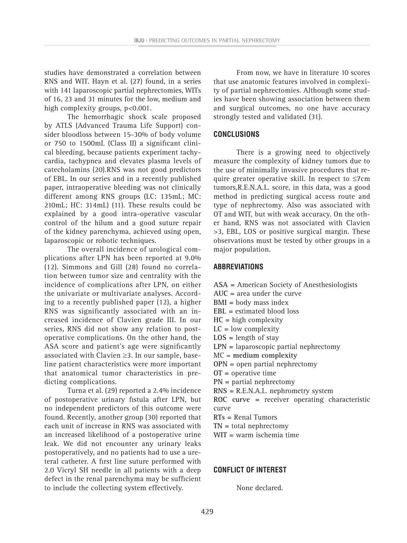studies have demonstrated a correlation between RNS and WIT. Hayn et al. (27) found, in a series with 141 laparoscopic partial nephrectomies, WITs of 16, 23 and 31 minutes for the low, medium and high complexity groups, p<0.001.

The hemorrhagic shock scale proposed by ATLS (Advanced Trauma Life Support) consider bloodloss between 15-30% of body volume or 750 to 1500mL (Class II) a significant clinical bleeding, because patients experiment tachycardia, tachypnea and elevates plasma levels of catecholamins (20).RNS was not good predictors of EBL. In our series and in a recently published paper, intraoperative bleeding was not clinically different among RNS groups (LC: 135mL; MC: 210mL; HC: 314mL) (11). These results could be explained by a good intra-operative vascular control of the hilum and a good suture repair of the kidney parenchyma, achieved using open, laparoscopic or robotic techniques.

The overall incidence of urological complications after LPN has been reported at 9.0% (12). Simmons and Gill (28) found no correlation between tumor size and centrality with the incidence of complications after LPN, on either the univariate or multivariate analyses. According to a recently published paper (12), a higher RNS was significantly associated with an increased incidence of Clavien grade III. In our series, RNS did not show any relation to postoperative complications. On the other hand, the ASA score and patient's age were significantly associated with Clavien ≥3. In our sample, baseline patient characteristics were more important that anatomical tumor characteristics in predicting complications.

Turna et al. (29) reported a 2.4% incidence of postoperative urinary fistula after LPN, but no independent predictors of this outcome were found. Recently, another group (30) reported that each unit of increase in RNS was associated with an increased likelihood of a postoperative urine leak. We did not encounter any urinary leaks postoperatively, and no patients had to use a ureteral catheter. A first line suture performed with 2.0 Vicryl SH needle in all patients with a deep defect in the renal parenchyma may be sufficient to include the collecting system effectively.

From now, we have in literature 10 scores that use anatomic features involved in complexity of partial nephrectomies. Although some studies have been showing association between them and surgical outcomes, no one have accuracy strongly tested and validated (31).

# **CONCLUSIONS**

There is a growing need to objectively measure the complexity of kidney tumors due to the use of minimally invasive procedures that require greater operative skill. In respect to  $\leq 7$ cm tumors,R.E.N.A.L. score, in this data, was a good method in predicting surgical access route and type of nephrectomy. Also was associated with OT and WIT, but with weak accuracy. On the other hand, RNS was not associated with Clavien >3, EBL, LOS or positive surgical margin. These observations must be tested by other groups in a major population.

### **Abbreviations**

- **ASA =** American Society of Anesthesiologists
- **AUC =** area under the curve
- **BMI =** body mass index
- **EBL =** estimated blood loss
- **HC =** high complexity
- **LC =** low complexity
- **LOS =** length of stay
- **LPN =** laparoscopic partial nephrectomy
- MC = **medium complexity**
- **OPN =** open partial nephrectomy
- **OT =** operative time
- **PN =** partial nephrectomy
- **RNS =** R.E.N.A.L. nephrometry system

**ROC curve =** receiver operating characteristic curve

- **RTs =** Renal Tumors
- **TN =** total nephrectomy
- **WIT =** warm ischemia time

# **CONFLICT OF INTEREST**

None declared.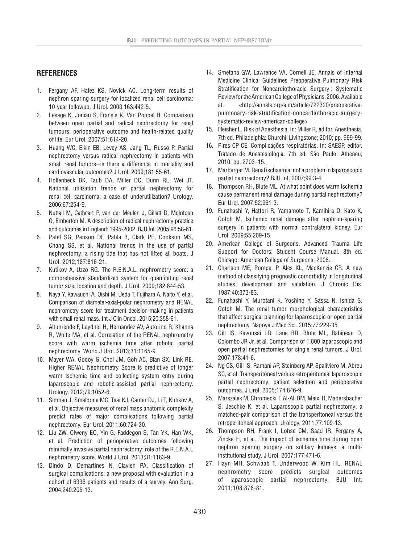## **REFERENCES**

- 1. Fergany AF, Hafez KS, Novick AC. Long-term results of nephron sparing surgery for localized renal cell carcinoma: 10-year followup. J Urol. 2000;163:442-5.
- 2. Lesage K, Joniau S, Fransis K, Van Poppel H. Comparison between open partial and radical nephrectomy for renal tumours: perioperative outcome and health-related quality of life. Eur Urol. 2007;51:614-20.
- 3. Huang WC, Elkin EB, Levey AS, Jang TL, Russo P. Partial nephrectomy versus radical nephrectomy in patients with small renal tumors--is there a difference in mortality and cardiovascular outcomes? J Urol. 2009;181:55-61.
- 4. Hollenbeck BK, Taub DA, Miller DC, Dunn RL, Wei JT. National utilization trends of partial nephrectomy for renal cell carcinoma: a case of underutilization? Urology. 2006;67:254-9.
- 5. Nuttall M, Cathcart P, van der Meulen J, Gillatt D, McIntosh G, Emberton M. A description of radical nephrectomy practice and outcomes in England: 1995-2002. BJU Int. 2005;96:58-61.
- 6. Patel SG, Penson DF, Pabla B, Clark PE, Cookson MS, Chang SS, et al. National trends in the use of partial nephrectomy: a rising tide that has not lifted all boats. J Urol. 2012;187:816-21.
- 7. Kutikov A, Uzzo RG. The R.E.N.A.L. nephrometry score: a comprehensive standardized system for quantitating renal tumor size, location and depth. J Urol. 2009;182:844-53.
- 8. Naya Y, Kawauchi A, Oishi M, Ueda T, Fujihara A, Naito Y, et al. Comparison of diameter-axial-polar nephrometry and RENAL nephrometry score for treatment decision-making in patients with small renal mass. Int J Clin Oncol. 2015;20:358-61.
- 9. Altunrende F, Laydner H, Hernandez AV, Autorino R, Khanna R, White MA, et al. Correlation of the RENAL nephrometry score with warm ischemia time after robotic partial nephrectomy. World J Urol. 2013;31:1165-9.
- 10. Mayer WA, Godoy G, Choi JM, Goh AC, Bian SX, Link RE. Higher RENAL Nephrometry Score is predictive of longer warm ischemia time and collecting system entry during laparoscopic and robotic-assisted partial nephrectomy. Urology. 2012;79:1052-6.
- 11. Simhan J, Smaldone MC, Tsai KJ, Canter DJ, Li T, Kutikov A, et al. Objective measures of renal mass anatomic complexity predict rates of major complications following partial nephrectomy. Eur Urol. 2011;60:724-30.
- 12. Liu ZW, Olweny EO, Yin G, Faddegon S, Tan YK, Han WK, et al. Prediction of perioperative outcomes following minimally invasive partial nephrectomy: role of the R.E.N.A.L nephrometry score. World J Urol. 2013;31:1183-9.
- 13. Dindo D, Demartines N, Clavien PA. Classification of surgical complications: a new proposal with evaluation in a cohort of 6336 patients and results of a survey. Ann Surg. 2004;240:205-13.
- 14. Smetana GW, Lawrence VA, Cornell JE. Annals of Internal Medicine Clinical Guidelines Preoperative Pulmonary Risk Stratification for Noncardiothoracic Surgery : Systematic Review for the American College of Physicians. 2006. Available at. <http://annals.org/aim/article/722320/preoperativepulmonary-risk-stratification-noncardiothoracic-surgerysystematic-review-american-college>
- 15. Fleisher L. Risk of Anesthesia. In: Miller R, editor. Anesthesia. 7th ed. Philadelphia: Churchil Livingstone; 2010; pp. 969-99.
- 16. Pires CP CE. Complicações respiratórias. In: SAESP, editor. Tratado de Anestesiologia. 7th ed. São Paulo: Atheneu; 2010; pp. 2703–15.
- 17. Marberger M. Renal ischaemia: not a problem in laparoscopic partial nephrectomy? BJU Int. 2007;99:3-4.
- 18. Thompson RH, Blute ML. At what point does warm ischemia cause permanent renal damage during partial nephrectomy? Eur Urol. 2007;52:961-3.
- 19. Funahashi Y, Hattori R, Yamamoto T, Kamihira O, Kato K, Gotoh M. Ischemic renal damage after nephron-sparing surgery in patients with normal contralateral kidney. Eur Urol. 2009;55:209-15.
- 20. American College of Surgeons. Advanced Trauma Life Support for Doctors: Student Course Manual. 8th ed. Chicago: American College of Surgeons; 2008.
- 21. Charlson ME, Pompei P, Ales KL, MacKenzie CR. A new method of classifying prognostic comorbidity in longitudinal studies: development and validation. J Chronic Dis. 1987;40:373-83.
- 22. Funahashi Y, Murotani K, Yoshino Y, Sassa N, Ishida S, Gotoh M. The renal tumor morphological characteristics that affect surgical planning for laparoscopic or open partial nephrectomy. Nagoya J Med Sci. 2015;77:229-35.
- 23. Gill IS, Kavoussi LR, Lane BR, Blute ML, Babineau D, Colombo JR Jr, et al. Comparison of 1,800 laparoscopic and open partial nephrectomies for single renal tumors. J Urol. 2007;178:41-6.
- 24. Ng CS, Gill IS, Ramani AP, Steinberg AP, Spaliviero M, Abreu SC, et al. Transperitoneal versus retroperitoneal laparoscopic partial nephrectomy: patient selection and perioperative outcomes. J Urol. 2005;174:846-9.
- 25. Marszalek M, Chromecki T, Al-Ali BM, Meixl H, Madersbacher S, Jeschke K, et al. Laparoscopic partial nephrectomy: a matched-pair comparison of the transperitoneal versus the retroperitoneal approach. Urology. 2011;77:109-13.
- 26. Thompson RH, Frank I, Lohse CM, Saad IR, Fergany A, Zincke H, et al. The impact of ischemia time during open nephron sparing surgery on solitary kidneys: a multiinstitutional study. J Urol. 2007;177:471-6.
- 27. Hayn MH, Schwaab T, Underwood W, Kim HL. RENAL nephrometry score predicts surgical outcomes of laparoscopic partial nephrectomy. BJU Int. 2011;108:876-81.